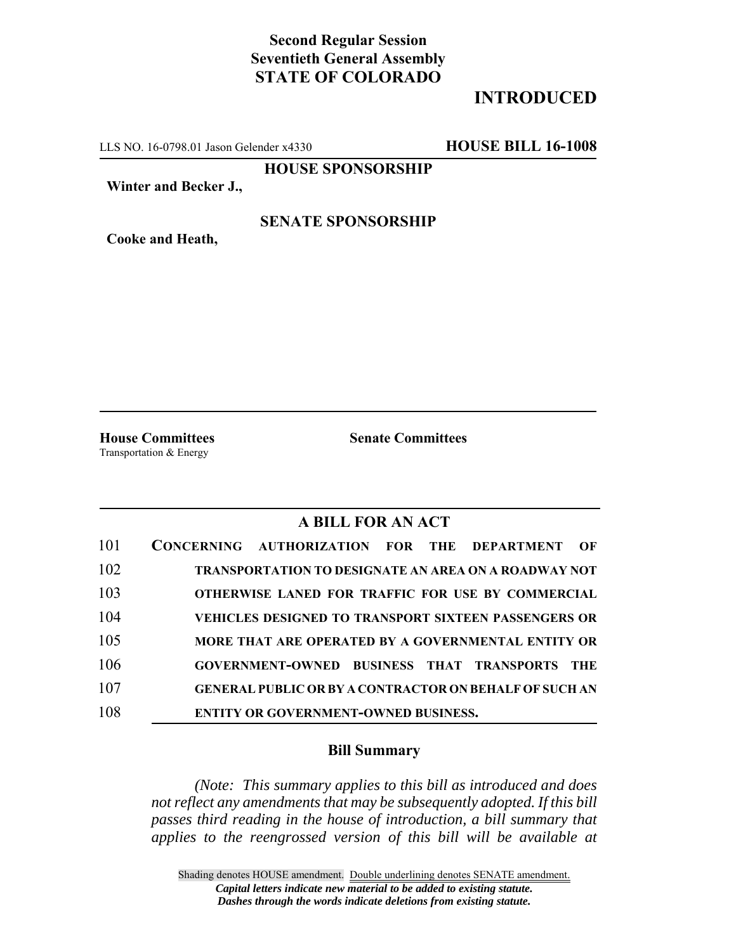# **Second Regular Session Seventieth General Assembly STATE OF COLORADO**

## **INTRODUCED**

LLS NO. 16-0798.01 Jason Gelender x4330 **HOUSE BILL 16-1008**

**HOUSE SPONSORSHIP**

**Winter and Becker J.,**

### **SENATE SPONSORSHIP**

**Cooke and Heath,**

**House Committees Senate Committees** Transportation & Energy

## **A BILL FOR AN ACT**

| 101 | CONCERNING AUTHORIZATION FOR THE DEPARTMENT<br>OF             |
|-----|---------------------------------------------------------------|
| 102 | <b>TRANSPORTATION TO DESIGNATE AN AREA ON A ROADWAY NOT</b>   |
| 103 | <b>OTHERWISE LANED FOR TRAFFIC FOR USE BY COMMERCIAL</b>      |
| 104 | <b>VEHICLES DESIGNED TO TRANSPORT SIXTEEN PASSENGERS OR</b>   |
| 105 | MORE THAT ARE OPERATED BY A GOVERNMENTAL ENTITY OR            |
| 106 | GOVERNMENT-OWNED BUSINESS THAT TRANSPORTS<br>THE <b>T</b>     |
| 107 | <b>GENERAL PUBLIC OR BY A CONTRACTOR ON BEHALF OF SUCH AN</b> |
| 108 | <b>ENTITY OR GOVERNMENT-OWNED BUSINESS.</b>                   |

### **Bill Summary**

*(Note: This summary applies to this bill as introduced and does not reflect any amendments that may be subsequently adopted. If this bill passes third reading in the house of introduction, a bill summary that applies to the reengrossed version of this bill will be available at*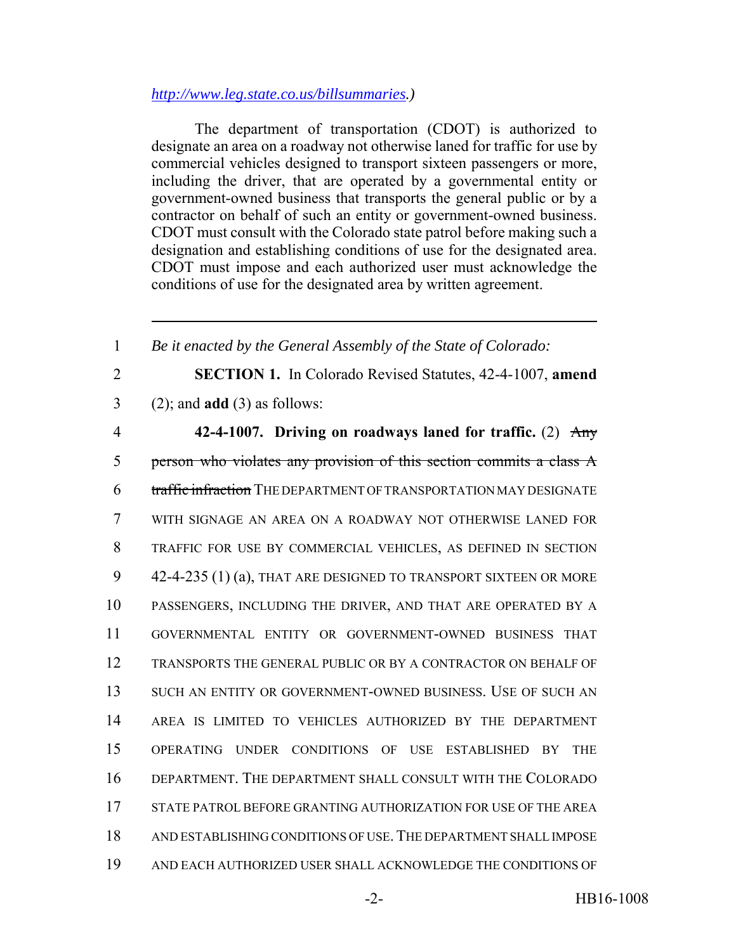### *http://www.leg.state.co.us/billsummaries.)*

The department of transportation (CDOT) is authorized to designate an area on a roadway not otherwise laned for traffic for use by commercial vehicles designed to transport sixteen passengers or more, including the driver, that are operated by a governmental entity or government-owned business that transports the general public or by a contractor on behalf of such an entity or government-owned business. CDOT must consult with the Colorado state patrol before making such a designation and establishing conditions of use for the designated area. CDOT must impose and each authorized user must acknowledge the conditions of use for the designated area by written agreement.

 *Be it enacted by the General Assembly of the State of Colorado:* **SECTION 1.** In Colorado Revised Statutes, 42-4-1007, **amend** (2); and **add** (3) as follows: **42-4-1007. Driving on roadways laned for traffic.** (2) Any person who violates any provision of this section commits a class A 6 traffic infraction THE DEPARTMENT OF TRANSPORTATION MAY DESIGNATE WITH SIGNAGE AN AREA ON A ROADWAY NOT OTHERWISE LANED FOR TRAFFIC FOR USE BY COMMERCIAL VEHICLES, AS DEFINED IN SECTION 42-4-235 (1) (a), THAT ARE DESIGNED TO TRANSPORT SIXTEEN OR MORE PASSENGERS, INCLUDING THE DRIVER, AND THAT ARE OPERATED BY A GOVERNMENTAL ENTITY OR GOVERNMENT-OWNED BUSINESS THAT TRANSPORTS THE GENERAL PUBLIC OR BY A CONTRACTOR ON BEHALF OF SUCH AN ENTITY OR GOVERNMENT-OWNED BUSINESS. USE OF SUCH AN AREA IS LIMITED TO VEHICLES AUTHORIZED BY THE DEPARTMENT OPERATING UNDER CONDITIONS OF USE ESTABLISHED BY THE DEPARTMENT. THE DEPARTMENT SHALL CONSULT WITH THE COLORADO STATE PATROL BEFORE GRANTING AUTHORIZATION FOR USE OF THE AREA AND ESTABLISHING CONDITIONS OF USE.THE DEPARTMENT SHALL IMPOSE AND EACH AUTHORIZED USER SHALL ACKNOWLEDGE THE CONDITIONS OF